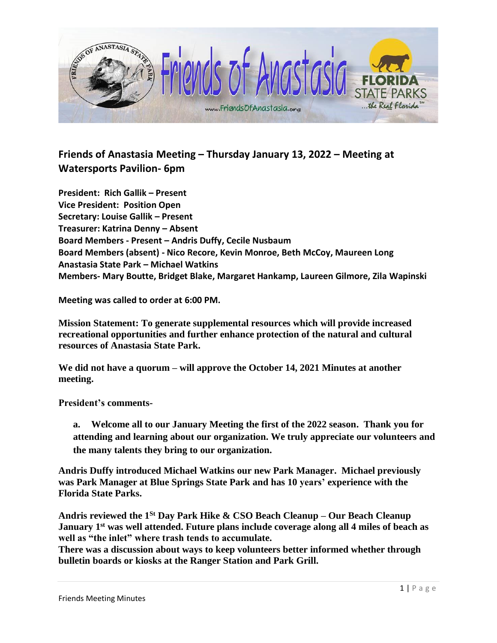

## **Friends of Anastasia Meeting – Thursday January 13, 2022 – Meeting at Watersports Pavilion- 6pm**

**President: Rich Gallik – Present Vice President: Position Open Secretary: Louise Gallik – Present Treasurer: Katrina Denny – Absent Board Members - Present – Andris Duffy, Cecile Nusbaum Board Members (absent) - Nico Recore, Kevin Monroe, Beth McCoy, Maureen Long Anastasia State Park – Michael Watkins Members- Mary Boutte, Bridget Blake, Margaret Hankamp, Laureen Gilmore, Zila Wapinski**

**Meeting was called to order at 6:00 PM.** 

**Mission Statement: To generate supplemental resources which will provide increased recreational opportunities and further enhance protection of the natural and cultural resources of Anastasia State Park.**

**We did not have a quorum – will approve the October 14, 2021 Minutes at another meeting.** 

**President's comments-**

**a. Welcome all to our January Meeting the first of the 2022 season. Thank you for attending and learning about our organization. We truly appreciate our volunteers and the many talents they bring to our organization.**

**Andris Duffy introduced Michael Watkins our new Park Manager. Michael previously was Park Manager at Blue Springs State Park and has 10 years' experience with the Florida State Parks.** 

**Andris reviewed the 1St Day Park Hike & CSO Beach Cleanup – Our Beach Cleanup January 1st was well attended. Future plans include coverage along all 4 miles of beach as well as "the inlet" where trash tends to accumulate.**

**There was a discussion about ways to keep volunteers better informed whether through bulletin boards or kiosks at the Ranger Station and Park Grill.**